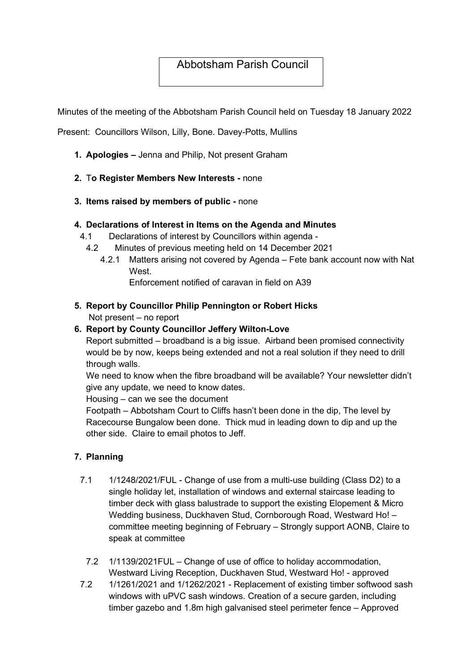# Abbotsham Parish Council

Minutes of the meeting of the Abbotsham Parish Council held on Tuesday 18 January 2022

Present: Councillors Wilson, Lilly, Bone. Davey-Potts, Mullins

- 1. Apologies Jenna and Philip, Not present Graham
- 2. To Register Members New Interests none
- 3. Items raised by members of public none

#### 4. Declarations of Interest in Items on the Agenda and Minutes

- 4.1 Declarations of interest by Councillors within agenda
	- 4.2 Minutes of previous meeting held on 14 December 2021
		- 4.2.1 Matters arising not covered by Agenda Fete bank account now with Nat **West**

Enforcement notified of caravan in field on A39

#### 5. Report by Councillor Philip Pennington or Robert Hicks Not present – no report

#### 6. Report by County Councillor Jeffery Wilton-Love

Report submitted – broadband is a big issue. Airband been promised connectivity would be by now, keeps being extended and not a real solution if they need to drill through walls.

We need to know when the fibre broadband will be available? Your newsletter didn't give any update, we need to know dates.

Housing – can we see the document

Footpath – Abbotsham Court to Cliffs hasn't been done in the dip, The level by Racecourse Bungalow been done. Thick mud in leading down to dip and up the other side. Claire to email photos to Jeff.

#### 7. Planning

- 7.1 1/1248/2021/FUL Change of use from a multi-use building (Class D2) to a single holiday let, installation of windows and external staircase leading to timber deck with glass balustrade to support the existing Elopement & Micro Wedding business, Duckhaven Stud, Cornborough Road, Westward Ho! – committee meeting beginning of February – Strongly support AONB, Claire to speak at committee
	- 7.2 1/1139/2021FUL Change of use of office to holiday accommodation, Westward Living Reception, Duckhaven Stud, Westward Ho! - approved
- 7.2 1/1261/2021 and 1/1262/2021 Replacement of existing timber softwood sash windows with uPVC sash windows. Creation of a secure garden, including timber gazebo and 1.8m high galvanised steel perimeter fence – Approved